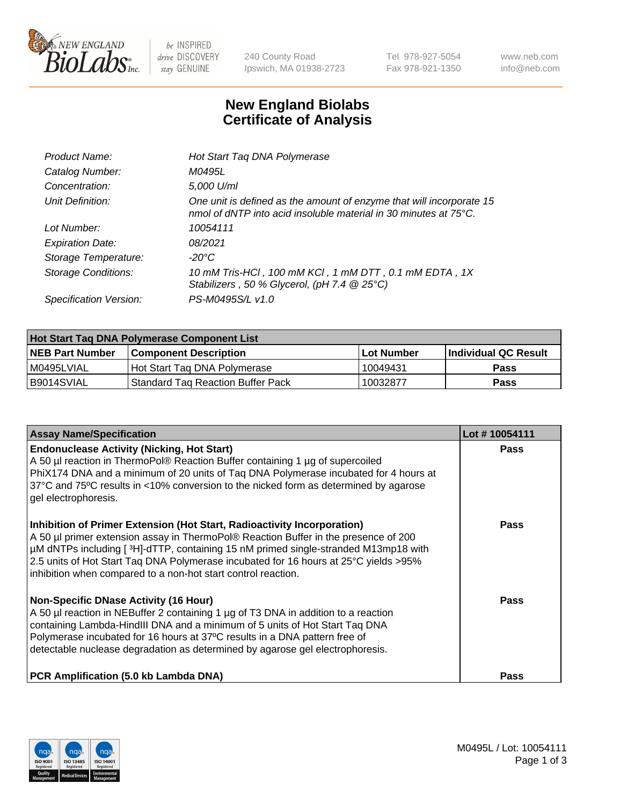

 $be$  INSPIRED drive DISCOVERY stay GENUINE

240 County Road Ipswich, MA 01938-2723 Tel 978-927-5054 Fax 978-921-1350 www.neb.com info@neb.com

## **New England Biolabs Certificate of Analysis**

| Product Name:           | Hot Start Taq DNA Polymerase                                                                                                                       |
|-------------------------|----------------------------------------------------------------------------------------------------------------------------------------------------|
| Catalog Number:         | M0495L                                                                                                                                             |
| Concentration:          | 5,000 U/ml                                                                                                                                         |
| Unit Definition:        | One unit is defined as the amount of enzyme that will incorporate 15<br>nmol of dNTP into acid insoluble material in 30 minutes at $75^{\circ}$ C. |
| Lot Number:             | 10054111                                                                                                                                           |
| <b>Expiration Date:</b> | 08/2021                                                                                                                                            |
| Storage Temperature:    | -20°C                                                                                                                                              |
| Storage Conditions:     | 10 mM Tris-HCl, 100 mM KCl, 1 mM DTT, 0.1 mM EDTA, 1X<br>Stabilizers, 50 % Glycerol, (pH 7.4 $@25°C$ )                                             |
| Specification Version:  | PS-M0495S/L v1.0                                                                                                                                   |

| Hot Start Taq DNA Polymerase Component List |                                   |              |                             |  |  |
|---------------------------------------------|-----------------------------------|--------------|-----------------------------|--|--|
| <b>NEB Part Number</b>                      | Component Description_            | l Lot Number | <b>Individual QC Result</b> |  |  |
| M0495LVIAL                                  | Hot Start Tag DNA Polymerase      | 10049431     | <b>Pass</b>                 |  |  |
| I B9014SVIAL                                | Standard Tag Reaction Buffer Pack | 10032877     | Pass                        |  |  |

| <b>Assay Name/Specification</b>                                                                                                                                                                                                                                                                                                                                                                                | Lot #10054111 |
|----------------------------------------------------------------------------------------------------------------------------------------------------------------------------------------------------------------------------------------------------------------------------------------------------------------------------------------------------------------------------------------------------------------|---------------|
| <b>Endonuclease Activity (Nicking, Hot Start)</b><br>A 50 µl reaction in ThermoPol® Reaction Buffer containing 1 µg of supercoiled<br>PhiX174 DNA and a minimum of 20 units of Taq DNA Polymerase incubated for 4 hours at<br>37°C and 75°C results in <10% conversion to the nicked form as determined by agarose<br>gel electrophoresis.                                                                     | <b>Pass</b>   |
| Inhibition of Primer Extension (Hot Start, Radioactivity Incorporation)<br>A 50 µl primer extension assay in ThermoPol® Reaction Buffer in the presence of 200<br>µM dNTPs including [3H]-dTTP, containing 15 nM primed single-stranded M13mp18 with<br>2.5 units of Hot Start Taq DNA Polymerase incubated for 16 hours at 25°C yields > 95%<br>inhibition when compared to a non-hot start control reaction. | <b>Pass</b>   |
| <b>Non-Specific DNase Activity (16 Hour)</b><br>A 50 µl reaction in NEBuffer 2 containing 1 µg of T3 DNA in addition to a reaction<br>containing Lambda-HindIII DNA and a minimum of 5 units of Hot Start Taq DNA<br>Polymerase incubated for 16 hours at 37°C results in a DNA pattern free of<br>detectable nuclease degradation as determined by agarose gel electrophoresis.                               | Pass          |
| <b>PCR Amplification (5.0 kb Lambda DNA)</b>                                                                                                                                                                                                                                                                                                                                                                   | <b>Pass</b>   |

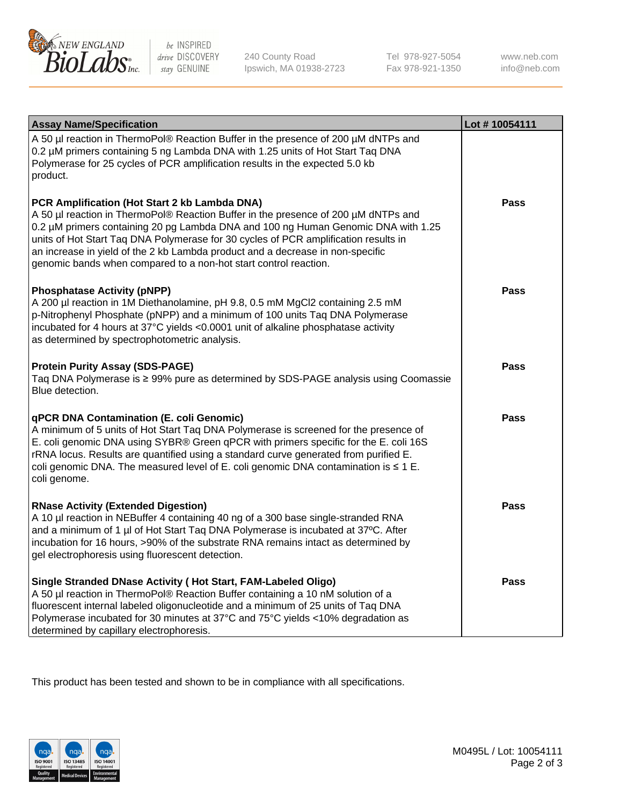

 $be$  INSPIRED drive DISCOVERY stay GENUINE

240 County Road Ipswich, MA 01938-2723 Tel 978-927-5054 Fax 978-921-1350 www.neb.com info@neb.com

| <b>Assay Name/Specification</b>                                                                                                                                                                                                                                                                                                                                                                                                                                       | Lot #10054111 |
|-----------------------------------------------------------------------------------------------------------------------------------------------------------------------------------------------------------------------------------------------------------------------------------------------------------------------------------------------------------------------------------------------------------------------------------------------------------------------|---------------|
| A 50 µl reaction in ThermoPol® Reaction Buffer in the presence of 200 µM dNTPs and<br>0.2 µM primers containing 5 ng Lambda DNA with 1.25 units of Hot Start Taq DNA<br>Polymerase for 25 cycles of PCR amplification results in the expected 5.0 kb<br>product.                                                                                                                                                                                                      |               |
| PCR Amplification (Hot Start 2 kb Lambda DNA)<br>A 50 µl reaction in ThermoPol® Reaction Buffer in the presence of 200 µM dNTPs and<br>0.2 µM primers containing 20 pg Lambda DNA and 100 ng Human Genomic DNA with 1.25<br>units of Hot Start Taq DNA Polymerase for 30 cycles of PCR amplification results in<br>an increase in yield of the 2 kb Lambda product and a decrease in non-specific<br>genomic bands when compared to a non-hot start control reaction. | <b>Pass</b>   |
| <b>Phosphatase Activity (pNPP)</b><br>A 200 µl reaction in 1M Diethanolamine, pH 9.8, 0.5 mM MgCl2 containing 2.5 mM<br>p-Nitrophenyl Phosphate (pNPP) and a minimum of 100 units Taq DNA Polymerase<br>incubated for 4 hours at 37°C yields <0.0001 unit of alkaline phosphatase activity<br>as determined by spectrophotometric analysis.                                                                                                                           | <b>Pass</b>   |
| <b>Protein Purity Assay (SDS-PAGE)</b><br>Taq DNA Polymerase is ≥ 99% pure as determined by SDS-PAGE analysis using Coomassie<br>Blue detection.                                                                                                                                                                                                                                                                                                                      | Pass          |
| <b>qPCR DNA Contamination (E. coli Genomic)</b><br>A minimum of 5 units of Hot Start Taq DNA Polymerase is screened for the presence of<br>E. coli genomic DNA using SYBR® Green qPCR with primers specific for the E. coli 16S<br>rRNA locus. Results are quantified using a standard curve generated from purified E.<br>coli genomic DNA. The measured level of E. coli genomic DNA contamination is $\leq 1$ E.<br>coli genome.                                   | <b>Pass</b>   |
| <b>RNase Activity (Extended Digestion)</b><br>A 10 µl reaction in NEBuffer 4 containing 40 ng of a 300 base single-stranded RNA<br>and a minimum of 1 µl of Hot Start Taq DNA Polymerase is incubated at 37°C. After<br>incubation for 16 hours, >90% of the substrate RNA remains intact as determined by<br>gel electrophoresis using fluorescent detection.                                                                                                        | Pass          |
| Single Stranded DNase Activity (Hot Start, FAM-Labeled Oligo)<br>A 50 µl reaction in ThermoPol® Reaction Buffer containing a 10 nM solution of a<br>fluorescent internal labeled oligonucleotide and a minimum of 25 units of Taq DNA<br>Polymerase incubated for 30 minutes at 37°C and 75°C yields <10% degradation as<br>determined by capillary electrophoresis.                                                                                                  | <b>Pass</b>   |

This product has been tested and shown to be in compliance with all specifications.